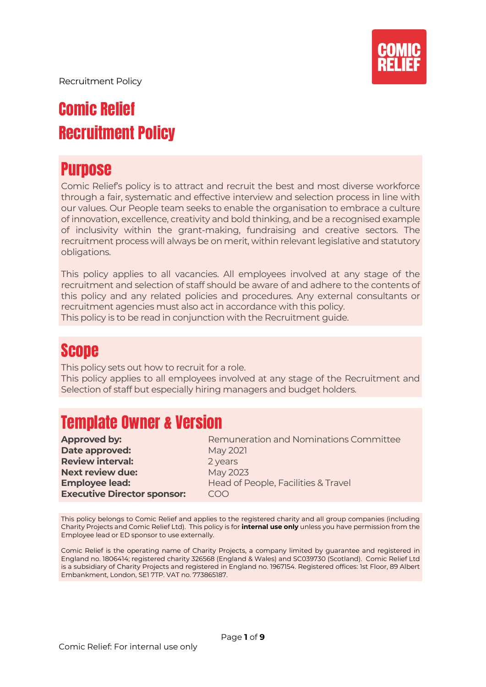

# Comic Relief Recruitment Policy

## **Purpose**

Comic Relief's policy is to attract and recruit the best and most diverse workforce through a fair, systematic and effective interview and selection process in line with our values. Our People team seeks to enable the organisation to embrace a culture of innovation, excellence, creativity and bold thinking, and be a recognised example of inclusivity within the grant-making, fundraising and creative sectors. The recruitment process will always be on merit, within relevant legislative and statutory obligations.

This policy applies to all vacancies. All employees involved at any stage of the recruitment and selection of staff should be aware of and adhere to the contents of this policy and any related policies and procedures. Any external consultants or recruitment agencies must also act in accordance with this policy. This policy is to be read in conjunction with the Recruitment guide.

## Scope

This policy sets out how to recruit for a role.

This policy applies to all employees involved at any stage of the Recruitment and Selection of staff but especially hiring managers and budget holders.

## Template Owner & Version

| <b>Approved by:</b>                | Remuneration and Nominations Committee |
|------------------------------------|----------------------------------------|
| Date approved:                     | May 2021                               |
| <b>Review interval:</b>            | 2 years                                |
| <b>Next review due:</b>            | May 2023                               |
| <b>Employee lead:</b>              | Head of People, Facilities & Travel    |
| <b>Executive Director sponsor:</b> | COO                                    |
|                                    |                                        |

This policy belongs to Comic Relief and applies to the registered charity and all group companies (including Charity Projects and Comic Relief Ltd). This policy is for **internal use only** unless you have permission from the Employee lead or ED sponsor to use externally.

Comic Relief is the operating name of Charity Projects, a company limited by guarantee and registered in England no. 1806414; registered charity 326568 (England & Wales) and SC039730 (Scotland). Comic Relief Ltd is a subsidiary of Charity Projects and registered in England no. 1967154. Registered offices: 1st Floor, 89 Albert Embankment, London, SE1 7TP. VAT no. 773865187.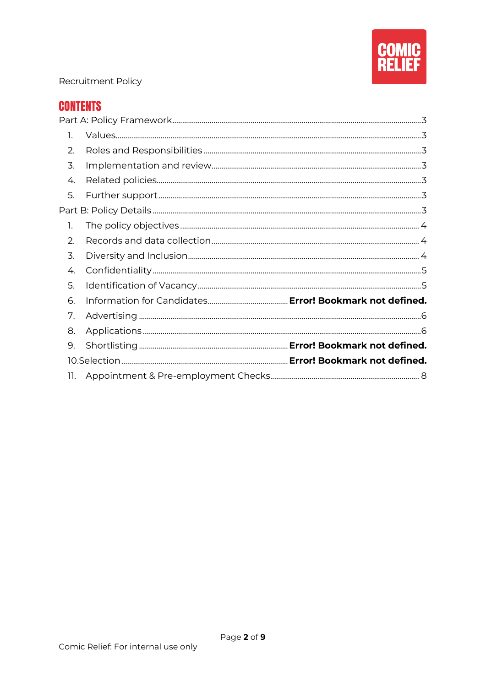

#### **CONTENTS**

| 1.  |  |
|-----|--|
| 2.  |  |
| 3.  |  |
| 4.  |  |
| 5.  |  |
|     |  |
| 1.  |  |
| 2.  |  |
| 3.  |  |
| 4.  |  |
| 5.  |  |
| 6.  |  |
| 7.  |  |
| 8.  |  |
| 9.  |  |
|     |  |
| 11. |  |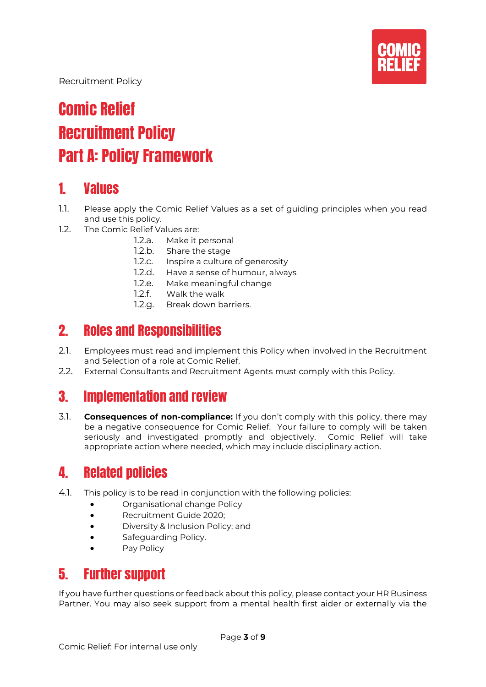

# Comic Relief Recruitment Policy Part A: Policy Framework

#### <span id="page-2-1"></span><span id="page-2-0"></span>1. Values

- 1.1. Please apply the Comic Relief Values as a set of guiding principles when you read and use this policy.
- 1.2. The Comic Relief Values are:
	- 1.2.a. Make it personal
	- 1.2.b. Share the stage
	- 1.2.c. Inspire a culture of generosity
	- 1.2.d. Have a sense of humour, always
	- 1.2.e. Make meaningful change<br>1.2.f. Walk the walk
	- Walk the walk
	- 1.2.g. Break down barriers.

### <span id="page-2-2"></span>2. Roles and Responsibilities

- 2.1. Employees must read and implement this Policy when involved in the Recruitment and Selection of a role at Comic Relief.
- 2.2. External Consultants and Recruitment Agents must comply with this Policy.

### <span id="page-2-3"></span>3. Implementation and review

3.1. **Consequences of non-compliance:** If you don't comply with this policy, there may be a negative consequence for Comic Relief. Your failure to comply will be taken seriously and investigated promptly and objectively. Comic Relief will take appropriate action where needed, which may include disciplinary action.

### <span id="page-2-4"></span>4. Related policies

- 4.1. This policy is to be read in conjunction with the following policies:
	- Organisational change Policy
	- Recruitment Guide 2020;
	- Diversity & Inclusion Policy; and
	- Safeguarding Policy.
	- Pay Policy

### <span id="page-2-5"></span>5. Further support

<span id="page-2-6"></span>If you have further questions or feedback about this policy, please contact your HR Business Partner. You may also seek support from a mental health first aider or externally via the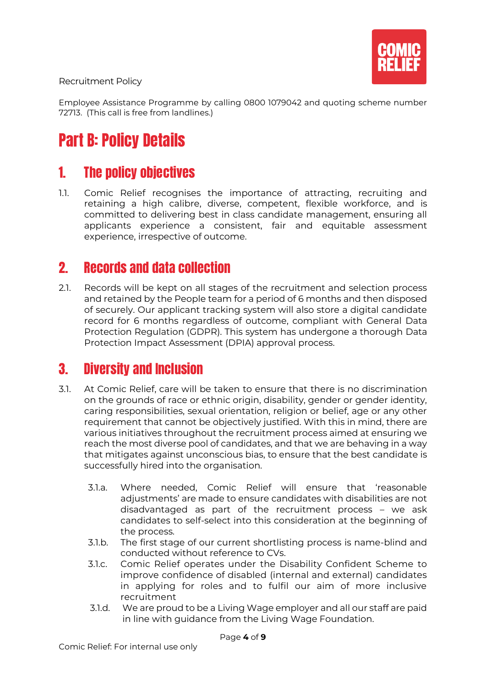

Employee Assistance Programme by calling 0800 1079042 and quoting scheme number 72713. (This call is free from landlines.)

# Part B: Policy Details

### <span id="page-3-0"></span>1. The policy objectives

1.1. Comic Relief recognises the importance of attracting, recruiting and retaining a high calibre, diverse, competent, flexible workforce, and is committed to delivering best in class candidate management, ensuring all applicants experience a consistent, fair and equitable assessment experience, irrespective of outcome.

#### <span id="page-3-1"></span>2. Records and data collection

2.1. Records will be kept on all stages of the recruitment and selection process and retained by the People team for a period of 6 months and then disposed of securely. Our applicant tracking system will also store a digital candidate record for 6 months regardless of outcome, compliant with General Data Protection Regulation (GDPR). This system has undergone a thorough Data Protection Impact Assessment (DPIA) approval process.

#### <span id="page-3-2"></span>3. Diversity and Inclusion

- 3.1. At Comic Relief, care will be taken to ensure that there is no discrimination on the grounds of race or ethnic origin, disability, gender or gender identity, caring responsibilities, sexual orientation, religion or belief, age or any other requirement that cannot be objectively justified. With this in mind, there are various initiatives throughout the recruitment process aimed at ensuring we reach the most diverse pool of candidates, and that we are behaving in a way that mitigates against unconscious bias, to ensure that the best candidate is successfully hired into the organisation.
	- 3.1.a. Where needed, Comic Relief will ensure that 'reasonable adjustments' are made to ensure candidates with disabilities are not disadvantaged as part of the recruitment process – we ask candidates to self-select into this consideration at the beginning of the process.
	- 3.1.b. The first stage of our current shortlisting process is name-blind and conducted without reference to CVs.
	- 3.1.c. Comic Relief operates under the Disability Confident Scheme to improve confidence of disabled (internal and external) candidates in applying for roles and to fulfil our aim of more inclusive recruitment
	- 3.1.d. We are proud to be a Living Wage employer and all our staff are paid in line with guidance from the Living Wage Foundation.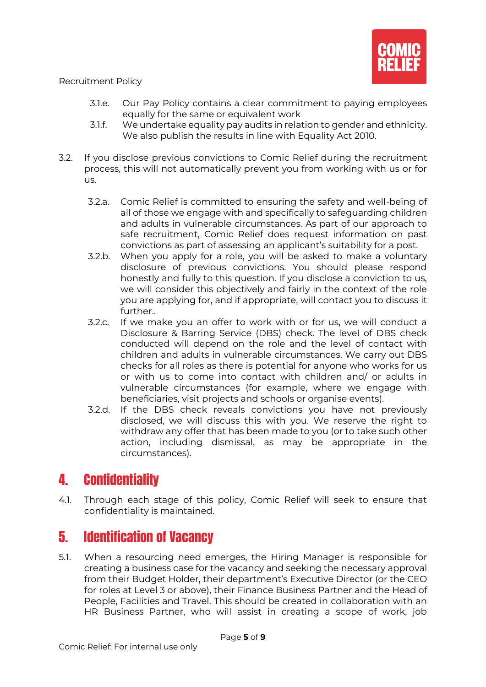

- 3.1.e. Our Pay Policy contains a clear commitment to paying employees equally for the same or equivalent work
- 3.1.f. We undertake equality pay audits in relation to gender and ethnicity. We also publish the results in line with Equality Act 2010.
- 3.2. If you disclose previous convictions to Comic Relief during the recruitment process, this will not automatically prevent you from working with us or for us.
	- 3.2.a. Comic Relief is committed to ensuring the safety and well-being of all of those we engage with and specifically to safeguarding children and adults in vulnerable circumstances. As part of our approach to safe recruitment, Comic Relief does request information on past convictions as part of assessing an applicant's suitability for a post.
	- 3.2.b. When you apply for a role, you will be asked to make a voluntary disclosure of previous convictions. You should please respond honestly and fully to this question. If you disclose a conviction to us, we will consider this objectively and fairly in the context of the role you are applying for, and if appropriate, will contact you to discuss it further..
	- 3.2.c. If we make you an offer to work with or for us, we will conduct a Disclosure & Barring Service (DBS) check. The level of DBS check conducted will depend on the role and the level of contact with children and adults in vulnerable circumstances. We carry out DBS checks for all roles as there is potential for anyone who works for us or with us to come into contact with children and/ or adults in vulnerable circumstances (for example, where we engage with beneficiaries, visit projects and schools or organise events).
	- 3.2.d. If the DBS check reveals convictions you have not previously disclosed, we will discuss this with you. We reserve the right to withdraw any offer that has been made to you (or to take such other action, including dismissal, as may be appropriate in the circumstances).

### <span id="page-4-0"></span>4. Confidentiality

4.1. Through each stage of this policy, Comic Relief will seek to ensure that confidentiality is maintained.

### <span id="page-4-1"></span>5. Identification of Vacancy

5.1. When a resourcing need emerges, the Hiring Manager is responsible for creating a business case for the vacancy and seeking the necessary approval from their Budget Holder, their department's Executive Director (or the CEO for roles at Level 3 or above), their Finance Business Partner and the Head of People, Facilities and Travel. This should be created in collaboration with an HR Business Partner, who will assist in creating a scope of work, job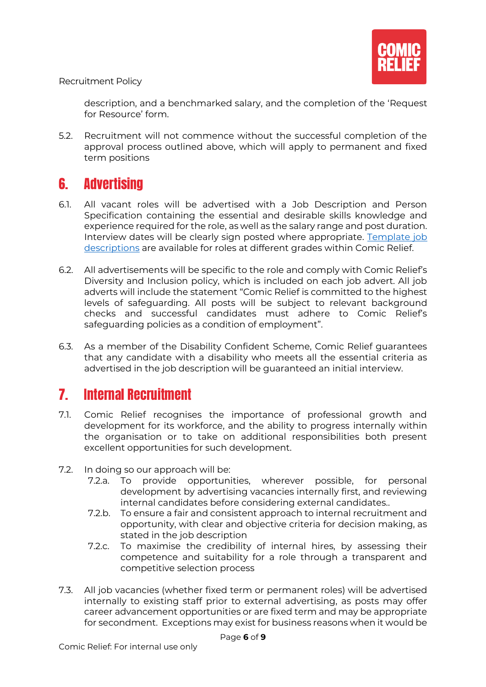

description, and a benchmarked salary, and the completion of the 'Request for Resource' form.

5.2. Recruitment will not commence without the successful completion of the approval process outlined above, which will apply to permanent and fixed term positions

## <span id="page-5-0"></span>6. Advertising

- 6.1. All vacant roles will be advertised with a Job Description and Person Specification containing the essential and desirable skills knowledge and experience required for the role, as well as the salary range and post duration. Interview dates will be clearly sign posted where appropriate. [Template job](https://comicrelief.box.com/s/lu71yemotnkgo93cks4it2n6v3weq4al)  [descriptions](https://comicrelief.box.com/s/lu71yemotnkgo93cks4it2n6v3weq4al) are available for roles at different grades within Comic Relief.
- 6.2. All advertisements will be specific to the role and comply with Comic Relief's Diversity and Inclusion policy, which is included on each job advert. All job adverts will include the statement "Comic Relief is committed to the highest levels of safeguarding. All posts will be subject to relevant background checks and successful candidates must adhere to Comic Relief's safeguarding policies as a condition of employment".
- 6.3. As a member of the Disability Confident Scheme, Comic Relief guarantees that any candidate with a disability who meets all the essential criteria as advertised in the job description will be guaranteed an initial interview.

### <span id="page-5-1"></span>7. Internal Recruitment

- 7.1. Comic Relief recognises the importance of professional growth and development for its workforce, and the ability to progress internally within the organisation or to take on additional responsibilities both present excellent opportunities for such development.
- 7.2. In doing so our approach will be:
	- 7.2.a. To provide opportunities, wherever possible, for personal development by advertising vacancies internally first, and reviewing internal candidates before considering external candidates..
	- 7.2.b. To ensure a fair and consistent approach to internal recruitment and opportunity, with clear and objective criteria for decision making, as stated in the job description
	- 7.2.c. To maximise the credibility of internal hires, by assessing their competence and suitability for a role through a transparent and competitive selection process
- 7.3. All job vacancies (whether fixed term or permanent roles) will be advertised internally to existing staff prior to external advertising, as posts may offer career advancement opportunities or are fixed term and may be appropriate for secondment. Exceptions may exist for business reasons when it would be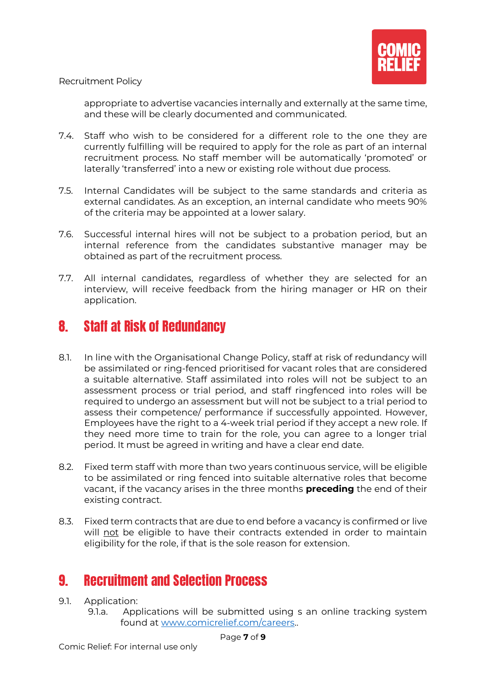

appropriate to advertise vacancies internally and externally at the same time, and these will be clearly documented and communicated.

- 7.4. Staff who wish to be considered for a different role to the one they are currently fulfilling will be required to apply for the role as part of an internal recruitment process. No staff member will be automatically 'promoted' or laterally 'transferred' into a new or existing role without due process.
- 7.5. Internal Candidates will be subject to the same standards and criteria as external candidates. As an exception, an internal candidate who meets 90% of the criteria may be appointed at a lower salary.
- 7.6. Successful internal hires will not be subject to a probation period, but an internal reference from the candidates substantive manager may be obtained as part of the recruitment process.
- 7.7. All internal candidates, regardless of whether they are selected for an interview, will receive feedback from the hiring manager or HR on their application.

### 8. Staff at Risk of Redundancy

- 8.1. In line with the Organisational Change Policy, staff at risk of redundancy will be assimilated or ring-fenced prioritised for vacant roles that are considered a suitable alternative. Staff assimilated into roles will not be subject to an assessment process or trial period, and staff ringfenced into roles will be required to undergo an assessment but will not be subject to a trial period to assess their competence/ performance if successfully appointed. However, Employees have the right to a 4-week trial period if they accept a new role. If they need more time to train for the role, you can agree to a longer trial period. It must be agreed in writing and have a clear end date.
- 8.2. Fixed term staff with more than two years continuous service, will be eligible to be assimilated or ring fenced into suitable alternative roles that become vacant, if the vacancy arises in the three months **preceding** the end of their existing contract.
- 8.3. Fixed term contracts that are due to end before a vacancy is confirmed or live will not be eligible to have their contracts extended in order to maintain eligibility for the role, if that is the sole reason for extension.

### 9. Recruitment and Selection Process

- 9.1. Application:
	- 9.1.a. Applications will be submitted using s an online tracking system found at [www.comicrelief.com/careers.](http://www.comicrelief.com/careers).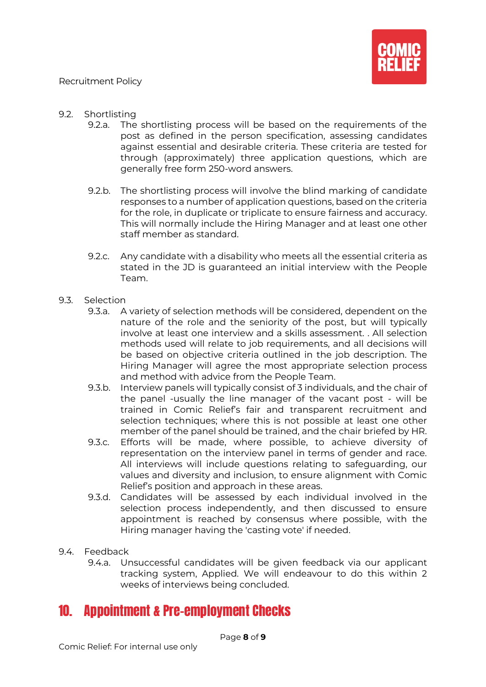

- 9.2. Shortlisting
	- 9.2.a. The shortlisting process will be based on the requirements of the post as defined in the person specification, assessing candidates against essential and desirable criteria. These criteria are tested for through (approximately) three application questions, which are generally free form 250-word answers.
	- 9.2.b. The shortlisting process will involve the blind marking of candidate responses to a number of application questions, based on the criteria for the role, in duplicate or triplicate to ensure fairness and accuracy. This will normally include the Hiring Manager and at least one other staff member as standard.
	- 9.2.c. Any candidate with a disability who meets all the essential criteria as stated in the JD is guaranteed an initial interview with the People Team.
- 9.3. Selection
	- 9.3.a. A variety of selection methods will be considered, dependent on the nature of the role and the seniority of the post, but will typically involve at least one interview and a skills assessment. . All selection methods used will relate to job requirements, and all decisions will be based on objective criteria outlined in the job description. The Hiring Manager will agree the most appropriate selection process and method with advice from the People Team.
	- 9.3.b. Interview panels will typically consist of 3 individuals, and the chair of the panel -usually the line manager of the vacant post - will be trained in Comic Relief's fair and transparent recruitment and selection techniques; where this is not possible at least one other member of the panel should be trained, and the chair briefed by HR.
	- 9.3.c. Efforts will be made, where possible, to achieve diversity of representation on the interview panel in terms of gender and race. All interviews will include questions relating to safeguarding, our values and diversity and inclusion, to ensure alignment with Comic Relief's position and approach in these areas.
	- 9.3.d. Candidates will be assessed by each individual involved in the selection process independently, and then discussed to ensure appointment is reached by consensus where possible, with the Hiring manager having the 'casting vote' if needed.
- 9.4. Feedback
	- 9.4.a. Unsuccessful candidates will be given feedback via our applicant tracking system, Applied. We will endeavour to do this within 2 weeks of interviews being concluded.

### <span id="page-7-0"></span>10. Appointment & Pre-employment Checks